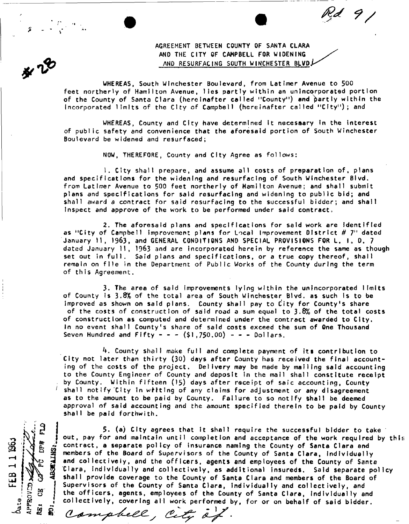AGREEMENT BETWEEN COUNTY OF SANTA CLARA AND THE CITY OF CAMPBELL FOR WIDENING AND RESURFACING SOUTH WINCHESTER BLVD!

 $Rd$  9  $/$ 

WHEREAS, South Winchester Boulevard, from Latimer Avenue to 500 feet northerly of Hamilton Avenue, lies partly within an unincorporated portion of the County of Santa Clara (hereinafter called "County") and partly within the Incorporated limits of the City of Campbell (hereinafter called "City"); and

WHEREAS, County and City have determined It necessary In the interest of public safety and convenience that the aforesaid portion of South Winchester Boulevard be widened and resurfaced;

NOW, THEREFORE, County and City Agree as follows:

1. City shall prepare, and assume ell costs of preparation of, plans and specifications for the widening and resurfacing of South Winchester Blvd. from Latimer Avenue to 500 feet northerly of Hamilton Avenue; and shall submit plans and specifications for said resurfacing and widening to public bid; and shall award a contract for said resurfacing to the successful bidder; and shall Inspect and approve of the work to be performed under said contract

2. The aforesaid plans and specifications for said work are Identified as "City of Campbell improvement plans for Local Improvement District # 7" dated January 11, 1963, and GENERAL CONDITIONS AND SPECIAL PROVISIONS FOR L. I. D. 7 dated January II, 1963 and are incorporated herein by reference the same as though set out in full. Said plans and specifications, or a true copy thereof, shall remain on file in the Department of Public Works of the County during the term of this Agreement.

3. The area of said improvements lying within the unincorporated limits of County is 3.8% of the total area of South Winchester Blyd. as such is to be Improved as shown on satd plans. County shall pay to City for County's share of the costs of construction of said road a sum equal to 3.8% of the total costs of construction as computed and determined under the contract awarded to City. In no event shall County's share of said costs exceed the sum of One Thousand Seven Hundred and Fifty - - -  $(S1,750.00)$  - - - Dollars,

k . County shall make full and complete payment of its contribution to City not later than thirty (30) days after County has received the final accounting of the costs of the project. Delivery may be made by mailing said accounting to the County Engineer of County and deposit In the mail shall constitute receipt by County. Within fifteen (15) days after receipt of saic accounting, County shall notify City in witting of any claims for adjustment or any disagreement as to the amount to be paid by County. Failure to so notify Shall be deemed approval of said accounting and the amount specified therein to be paid by County shall be paid forthwith.

FEB 11196 **APPROVED** B. Ø

5. (a) City agrees that It shall require the successful bidder to take out, pay for and maintain until completion and acceptance of the work required by this contract, a separate policy of insurance naming the County of Santa Clara and members of the Board of Supervisors of the County of Santa Clara, Individually and collectively, and the officers, agents and employees of the County of Santa Clara, individually end collectively, as additional Insureds. Said separate policy shall provide coverage to the County of Santa Clara and members of the Board of Supervisors of the County of Santa Clara, Individually and collectively, and the officers, agents, employees of the County of Santa Clara, Individually and collectively, covering all work performed by, for or on behalf of said bidder.

Compbell, City of.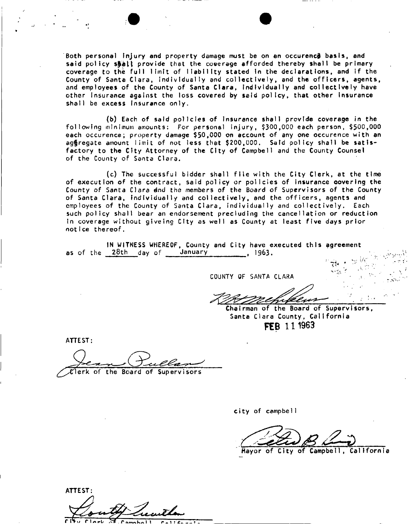Both personal injury and property damage must be on an occurence basis, and said policy shall provide that the coverage afforded thereby shall be primary coverage to the full limit of liability stated In the declarations, and if the County of Santa Clara, individually and collectively, and the officers, agents, and employees of the County of Santa Clara, individually and collectively have other insurance against the loss covered by said policy, that other insurance shall be excess insurance only.

(b) Each of said policies of Insurance shall provide coverage in the following minimum amounts: For personal injury, \$300,000 each person, \$500,000 each occurence; property damage \$50,000 on account of any one occurence with an aggregate amount limit of not less that \$200,000. Said policy shall be satisfactory to the City Attorney of the City of Campbell and the County Counsel of the County of Santa Clara.

(c) The successful bidder shall file with the City Clerk, at the time of execution of the contract, said policy or policies of insurance covering the County of Santa Clara dnd the members of the Board of Supervisors of the County of Santa Clara, individually and collectively, and the officers, agents and employees of the County of Santa Clara, individually and collectively. Each such policy shall bear an endorsement precluding the cancellation or reduction in coverage without glveing City as well as County at least five days prior notice thereof.

IN WITNESS WHEREOF, County and City have executed this agreement as of the 28th day of January 1963.

COUNTY OF SANTA CLARA

Chairman of the Board of Supervisors, Santa Clara County, California **FEB 111963** 

*V\* ' ' ... :••* 

 $\mathbf{V} = \mathbf{V} \times \mathbf{V}$ 

ATTEST:

erk of the Board of Supervisors

city of campbel1

Mayor of City of Campbell, California

ATTEST: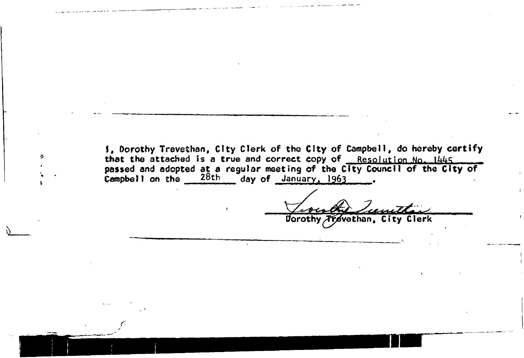**I, Dorothy Trevethan, City Clerk of the City of Campbell, do hereby certify**  that the attached is a true and correct copy of Resolution No. 1445. **passed and adopted at a regular meeting of the City Council of the City of Campbell on the 28th** day of January, 1963

*f-*

• H \* .in . *my* • -gr^fr-fr-frtnS^UV^,,.

**tforothy/Tftevethan, City Clerk**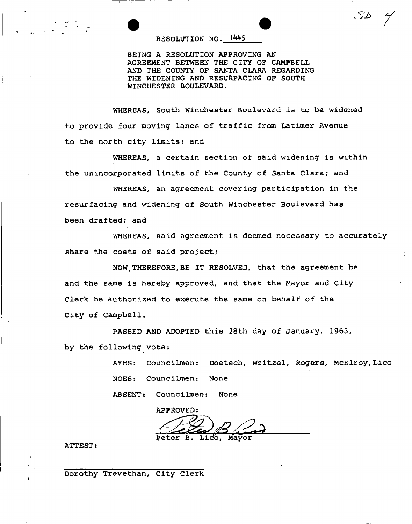## **RESOLUTION NO.**

**BEING A RESOLUTION APPROVING AN AGREEMENT BETWEEN THE CITY OF CAMPBELL**  AND THE COUNTY OF SANTA CLARA REGARDING **THE WIDENING AND RESURFACING OF SOUTH WINCHESTER BOULEVARD.** 

*sa y* 

**WHEREAS, South Winchester Boulevard is to be widened t.o provide four moving lanes of traffic from Latimer Avenue to the north city limits; and** 

**WHEREAS, a certain section of said widening is within the unincorporated limits of the County of Santa Clara? and** 

**WHEREAS, an agreement covering participation in the resurfacing and widening of South Winchester Boulevard has been drafted? and** 

**WHEREAS, said agreement is deemed necessary to accurately**  share the costs of said project;

**NOW,THEREFORE,BE IT RESOLVED, that the agreement be and the same is hereby approved, and that the Mayor and City Clerk be authorized to execute the same on behalf of the City of Campbell.** 

**PASSED AND ADOPTED this 28th day of January, 1963, by the following vote:** 

> **AYES: Counciimen: Doetsch, Weitzel, Rogers, McElroy,Lico NOES: Counciimen: None**

**ABSENT: Counciimen: None** 

**APPROVED: Peter B. Lico, Mayor** 

**ATTEST:** 

Dorothy Trevethan, City Clerk